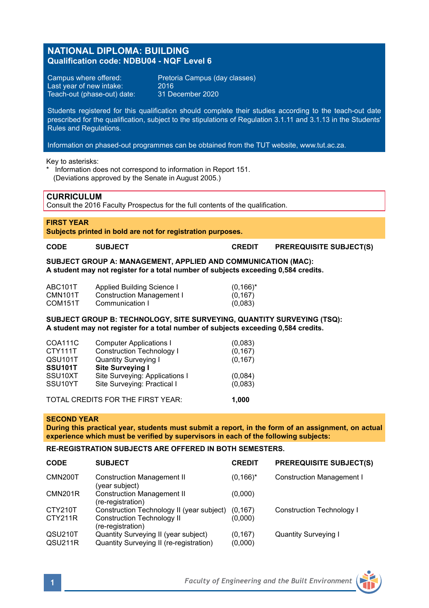# **NATIONAL DIPLOMA: BUILDING Qualification code: NDBU04 - NQF Level 6**

Last year of new intake:  $2016$ <br>Teach-out (phase-out) date:  $31$  December 2020 Teach-out (phase-out) date:

Campus where offered: Pretoria Campus (day classes)

Students registered for this qualification should complete their studies according to the teach-out date prescribed for the qualification, subject to the stipulations of Regulation 3.1.11 and 3.1.13 in the Students' Rules and Regulations.

Information on phased-out programmes can be obtained from the TUT website, www.tut.ac.za.

Key to asterisks:

Information does not correspond to information in Report 151. (Deviations approved by the Senate in August 2005.)

## **CURRICULUM**

Consult the 2016 Faculty Prospectus for the full contents of the qualification.

### **FIRST YEAR**

**Subjects printed in bold are not for registration purposes.** 

**CODE SUBJECT CREDIT PREREQUISITE SUBJECT(S)**

**SUBJECT GROUP A: MANAGEMENT, APPLIED AND COMMUNICATION (MAC): A student may not register for a total number of subjects exceeding 0,584 credits.**

| ABC101T              | Applied Building Science I | $(0,166)^*$ |
|----------------------|----------------------------|-------------|
| CMN <sub>101</sub> T | Construction Management I  | (0, 167)    |
| COM <sub>151</sub> T | Communication I            | (0,083)     |

### **SUBJECT GROUP B: TECHNOLOGY, SITE SURVEYING, QUANTITY SURVEYING (TSQ): A student may not register for a total number of subjects exceeding 0,584 credits.**

| COA111C                                    | <b>Computer Applications I</b>   | (0,083)  |  |  |
|--------------------------------------------|----------------------------------|----------|--|--|
| CTY111T                                    | <b>Construction Technology I</b> | (0, 167) |  |  |
| QSU101T                                    | <b>Quantity Surveying I</b>      | (0, 167) |  |  |
| SSU <sub>101</sub> T                       | Site Surveying I                 |          |  |  |
| SSU <sub>10</sub> XT                       | Site Surveying: Applications I   | (0,084)  |  |  |
| SSU10YT                                    | Site Surveying: Practical I      | (0,083)  |  |  |
|                                            |                                  |          |  |  |
| TOTAL CREDITS FOR THE FIRST YEAR:<br>1.000 |                                  |          |  |  |

#### **SECOND YEAR**

**During this practical year, students must submit a report, in the form of an assignment, on actual experience which must be verified by supervisors in each of the following subjects:**

## **RE-REGISTRATION SUBJECTS ARE OFFERED IN BOTH SEMESTERS.**

| <b>CODE</b> | <b>SUBJECT</b>                                         | <b>CREDIT</b> | <b>PREREQUISITE SUBJECT(S)</b>   |
|-------------|--------------------------------------------------------|---------------|----------------------------------|
| CMN200T     | <b>Construction Management II</b><br>(year subject)    | $(0,166)^*$   | <b>Construction Management I</b> |
| CMN201R     | <b>Construction Management II</b><br>(re-registration) | (0,000)       |                                  |
| CTY210T     | Construction Technology II (year subject)              | (0.167)       | Construction Technology I        |
| CTY211R     | <b>Construction Technology II</b><br>(re-registration) | (0.000)       |                                  |
| QSU210T     | Quantity Surveying II (year subject)                   | (0, 167)      | <b>Quantity Surveying I</b>      |
| QSU211R     | Quantity Surveying II (re-registration)                | (0,000)       |                                  |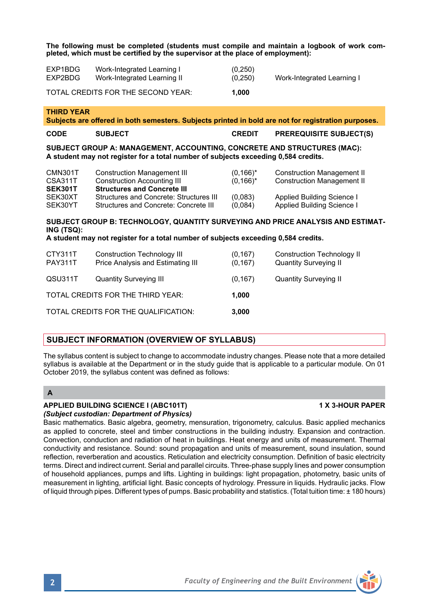**The following must be completed (students must compile and maintain a logbook of work completed, which must be certified by the supervisor at the place of employment):**

| EXP1BDG<br>EXP2BDG                                                                                                                                            | Work-Integrated Learning I<br>Work-Integrated Learning II                                                      | (0, 250)<br>(0, 250)        | Work-Integrated Learning I                                             |  |  |  |
|---------------------------------------------------------------------------------------------------------------------------------------------------------------|----------------------------------------------------------------------------------------------------------------|-----------------------------|------------------------------------------------------------------------|--|--|--|
| TOTAL CREDITS FOR THE SECOND YEAR:                                                                                                                            |                                                                                                                | 1,000                       |                                                                        |  |  |  |
| <b>THIRD YEAR</b><br>Subjects are offered in both semesters. Subjects printed in bold are not for registration purposes.                                      |                                                                                                                |                             |                                                                        |  |  |  |
| <b>CODE</b>                                                                                                                                                   | <b>SUBJECT</b>                                                                                                 | <b>CREDIT</b>               | <b>PREREQUISITE SUBJECT(S)</b>                                         |  |  |  |
| SUBJECT GROUP A: MANAGEMENT, ACCOUNTING, CONCRETE AND STRUCTURES (MAC):<br>A student may not register for a total number of subjects exceeding 0,584 credits. |                                                                                                                |                             |                                                                        |  |  |  |
| CMN301T<br><b>CSA311T</b><br><b>SEK301T</b>                                                                                                                   | <b>Construction Management III</b><br><b>Construction Accounting III</b><br><b>Structures and Concrete III</b> | $(0,166)^*$<br>$(0, 166)^*$ | <b>Construction Management II</b><br><b>Construction Management II</b> |  |  |  |
| SEK30XT<br>SEK30YT                                                                                                                                            | Structures and Concrete: Structures III<br>Structures and Concrete: Concrete III                               | (0,083)<br>(0,084)          | Applied Building Science I<br>Applied Building Science I               |  |  |  |
| SUBJECT GROUP B: TECHNOLOGY, QUANTITY SURVEYING AND PRICE ANALYSIS AND ESTIMAT-<br>ING (TSQ):                                                                 |                                                                                                                |                             |                                                                        |  |  |  |
| A student may not register for a total number of subjects exceeding 0,584 credits.                                                                            |                                                                                                                |                             |                                                                        |  |  |  |
| CTY311T<br><b>PAY311T</b>                                                                                                                                     | <b>Construction Technology III</b><br>Price Analysis and Estimating III                                        | (0, 167)<br>(0, 167)        | <b>Construction Technology II</b><br><b>Quantity Surveying II</b>      |  |  |  |
| QSU311T                                                                                                                                                       | <b>Quantity Surveying III</b>                                                                                  | (0, 167)                    | <b>Quantity Surveying II</b>                                           |  |  |  |
| TOTAL CREDITS FOR THE THIRD YEAR:<br>1.000                                                                                                                    |                                                                                                                |                             |                                                                        |  |  |  |
| TOTAL CREDITS FOR THE QUALIFICATION:<br>3,000                                                                                                                 |                                                                                                                |                             |                                                                        |  |  |  |

## **SUBJECT INFORMATION (OVERVIEW OF SYLLABUS)**

The syllabus content is subject to change to accommodate industry changes. Please note that a more detailed syllabus is available at the Department or in the study guide that is applicable to a particular module. On 01 October 2019, the syllabus content was defined as follows:

## **A**

#### **APPLIED BUILDING SCIENCE I (ABC101T) 1 X 3-HOUR PAPER** *(Subject custodian: Department of Physics)*

Basic mathematics. Basic algebra, geometry, mensuration, trigonometry, calculus. Basic applied mechanics as applied to concrete, steel and timber constructions in the building industry. Expansion and contraction. Convection, conduction and radiation of heat in buildings. Heat energy and units of measurement. Thermal conductivity and resistance. Sound: sound propagation and units of measurement, sound insulation, sound reflection, reverberation and acoustics. Reticulation and electricity consumption. Definition of basic electricity terms. Direct and indirect current. Serial and parallel circuits. Three-phase supply lines and power consumption of household appliances, pumps and lifts. Lighting in buildings: light propagation, photometry, basic units of measurement in lighting, artificial light. Basic concepts of hydrology. Pressure in liquids. Hydraulic jacks. Flow of liquid through pipes. Different types of pumps. Basic probability and statistics. (Total tuition time: ± 180 hours)

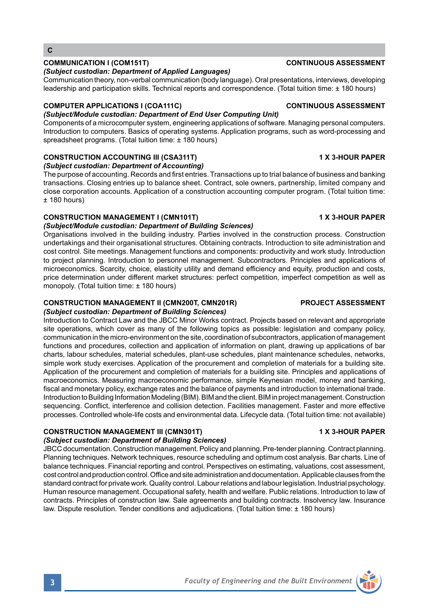## **COMMUNICATION I (COM151T) CONTINUOUS ASSESSMENT**

### *(Subject custodian: Department of Applied Languages)*

Communication theory, non-verbal communication (body language). Oral presentations, interviews, developing leadership and participation skills. Technical reports and correspondence. (Total tuition time: ± 180 hours)

## **COMPUTER APPLICATIONS I (COA111C) CONTINUOUS ASSESSMENT**

## *(Subject/Module custodian: Department of End User Computing Unit)*

Components of a microcomputer system, engineering applications of software. Managing personal computers. Introduction to computers. Basics of operating systems. Application programs, such as word-processing and spreadsheet programs. (Total tuition time: ± 180 hours)

# **CONSTRUCTION ACCOUNTING III (CSA311T) 1 X 3-HOUR PAPER**

*(Subject custodian: Department of Accounting)*

The purpose of accounting. Records and first entries. Transactions up to trial balance of business and banking transactions. Closing entries up to balance sheet. Contract, sole owners, partnership, limited company and close corporation accounts. Application of a construction accounting computer program. (Total tuition time:  $±$  180 hours)

## **CONSTRUCTION MANAGEMENT I (CMN101T) 1 X 3-HOUR PAPER**

*(Subject/Module custodian: Department of Building Sciences)* Organisations involved in the building industry. Parties involved in the construction process. Construction undertakings and their organisational structures. Obtaining contracts. Introduction to site administration and cost control. Site meetings. Management functions and components: productivity and work study. Introduction to project planning. Introduction to personnel management. Subcontractors. Principles and applications of microeconomics. Scarcity, choice, elasticity utility and demand efficiency and equity, production and costs, price determination under different market structures: perfect competition, imperfect competition as well as monopoly. (Total tuition time: ± 180 hours)

### **CONSTRUCTION MANAGEMENT II (CMN200T, CMN201R) PROJECT ASSESSMENT** *(Subject custodian: Department of Building Sciences)*

Introduction to Contract Law and the JBCC Minor Works contract. Projects based on relevant and appropriate site operations, which cover as many of the following topics as possible: legislation and company policy, communication in the micro-environment on the site, coordination of subcontractors, application of management functions and procedures, collection and application of information on plant, drawing up applications of bar charts, labour schedules, material schedules, plant-use schedules, plant maintenance schedules, networks, simple work study exercises. Application of the procurement and completion of materials for a building site. Application of the procurement and completion of materials for a building site. Principles and applications of macroeconomics. Measuring macroeconomic performance, simple Keynesian model, money and banking, fiscal and monetary policy, exchange rates and the balance of payments and introduction to international trade. Introduction to Building Information Modeling (BIM). BIM and the client. BIM in project management. Construction sequencing. Conflict, interference and collision detection. Facilities management. Faster and more effective processes. Controlled whole-life costs and environmental data. Lifecycle data. (Total tuition time: not available)

# **CONSTRUCTION MANAGEMENT III (CMN301T) 1 X 3-HOUR PAPER**

## *(Subject custodian: Department of Building Sciences)*

JBCC documentation. Construction management. Policy and planning. Pre-tender planning. Contract planning. Planning techniques. Network techniques, resource scheduling and optimum cost analysis. Bar charts. Line of balance techniques. Financial reporting and control. Perspectives on estimating, valuations, cost assessment, cost control and production control. Office and site administration and documentation. Applicable clauses from the standard contract for private work. Quality control. Labour relations and labour legislation. Industrial psychology. Human resource management. Occupational safety, health and welfare. Public relations. Introduction to law of contracts. Principles of construction law. Sale agreements and building contracts. Insolvency law. Insurance law. Dispute resolution. Tender conditions and adjudications. (Total tuition time: ± 180 hours)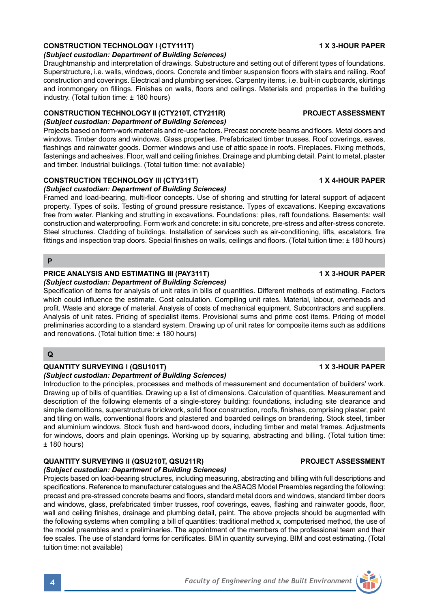# **CONSTRUCTION TECHNOLOGY I (CTY111T) 1 X 3-HOUR PAPER**

### *(Subject custodian: Department of Building Sciences)*

Draughtmanship and interpretation of drawings. Substructure and setting out of different types of foundations. Superstructure, i.e. walls, windows, doors. Concrete and timber suspension floors with stairs and railing. Roof construction and coverings. Electrical and plumbing services. Carpentry items, i.e. built-in cupboards, skirtings and ironmongery on fillings. Finishes on walls, floors and ceilings. Materials and properties in the building industry. (Total tuition time: ± 180 hours)

### **CONSTRUCTION TECHNOLOGY II (CTY210T, CTY211R) PROJECT ASSESSMENT** *(Subject custodian: Department of Building Sciences)*

Projects based on form-work materials and re-use factors. Precast concrete beams and floors. Metal doors and windows. Timber doors and windows. Glass properties. Prefabricated timber trusses. Roof coverings, eaves, flashings and rainwater goods. Dormer windows and use of attic space in roofs. Fireplaces. Fixing methods, fastenings and adhesives. Floor, wall and ceiling finishes. Drainage and plumbing detail. Paint to metal, plaster and timber. Industrial buildings. (Total tuition time: not available)

## **CONSTRUCTION TECHNOLOGY III (CTY311T) 1 X 4-HOUR PAPER**

*(Subject custodian: Department of Building Sciences)*

Framed and load-bearing, multi-floor concepts. Use of shoring and strutting for lateral support of adjacent property. Types of soils. Testing of ground pressure resistance. Types of excavations. Keeping excavations free from water. Planking and strutting in excavations. Foundations: piles, raft foundations. Basements: wall construction and waterproofing. Form work and concrete: in situ concrete, pre-stress and after-stress concrete. Steel structures. Cladding of buildings. Installation of services such as air-conditioning, lifts, escalators, fire fittings and inspection trap doors. Special finishes on walls, ceilings and floors. (Total tuition time: ± 180 hours)

## **P**

#### **PRICE ANALYSIS AND ESTIMATING III (PAY311T) 1 X 3-HOUR PAPER** *(Subject custodian: Department of Building Sciences)*

Specification of items for analysis of unit rates in bills of quantities. Different methods of estimating. Factors which could influence the estimate. Cost calculation. Compiling unit rates. Material, labour, overheads and profit. Waste and storage of material. Analysis of costs of mechanical equipment. Subcontractors and suppliers. Analysis of unit rates. Pricing of specialist items. Provisional sums and prime cost items. Pricing of model preliminaries according to a standard system. Drawing up of unit rates for composite items such as additions and renovations. (Total tuition time: ± 180 hours)

## **Q**

## **QUANTITY SURVEYING I (QSU101T) 1 X 3-HOUR PAPER**

### *(Subject custodian: Department of Building Sciences)*

Introduction to the principles, processes and methods of measurement and documentation of builders' work. Drawing up of bills of quantities. Drawing up a list of dimensions. Calculation of quantities. Measurement and description of the following elements of a single-storey building: foundations, including site clearance and simple demolitions, superstructure brickwork, solid floor construction, roofs, finishes, comprising plaster, paint and tiling on walls, conventional floors and plastered and boarded ceilings on brandering. Stock steel, timber and aluminium windows. Stock flush and hard-wood doors, including timber and metal frames. Adjustments for windows, doors and plain openings. Working up by squaring, abstracting and billing. (Total tuition time:  $+ 180$  hours)

## **QUANTITY SURVEYING II (QSU210T, QSU211R) PROJECT ASSESSMENT**

#### *(Subject custodian: Department of Building Sciences)*

Projects based on load-bearing structures, including measuring, abstracting and billing with full descriptions and specifications. Reference to manufacturer catalogues and the ASAQS Model Preambles regarding the following: precast and pre-stressed concrete beams and floors, standard metal doors and windows, standard timber doors and windows, glass, prefabricated timber trusses, roof coverings, eaves, flashing and rainwater goods, floor, wall and ceiling finishes, drainage and plumbing detail, paint. The above projects should be augmented with the following systems when compiling a bill of quantities: traditional method x, computerised method, the use of the model preambles and x preliminaries. The appointment of the members of the professional team and their fee scales. The use of standard forms for certificates. BIM in quantity surveying. BIM and cost estimating. (Total tuition time: not available)